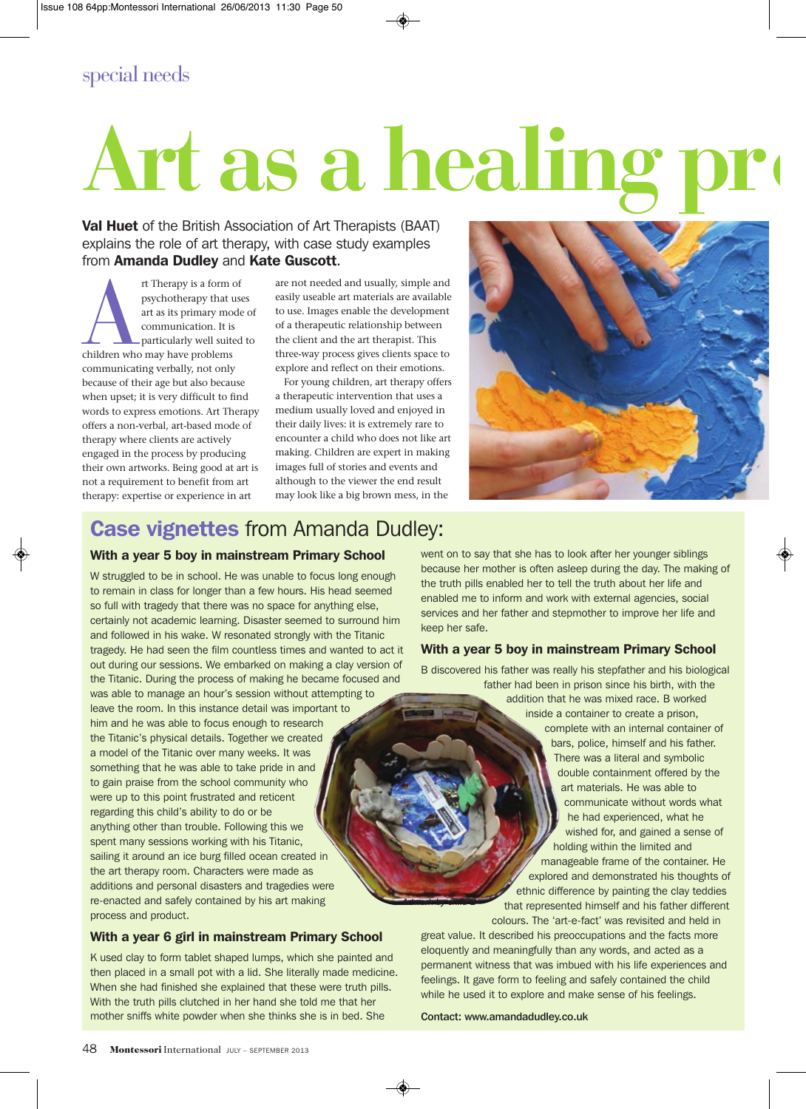# **Art as a healing pro**

Val Huet of the British Association of Art Therapists (BAAT) explains the role of art therapy, with case study examples from Amanda Dudley and Kate Guscott.

rt Therapy is a form of<br>
psychotherapy that us<br>
art as its primary mode<br>
communication. It is<br>
particularly well suited<br>
children who may have problems psychotherapy that uses art as its primary mode of communication. It is particularly well suited to communicating verbally, not only because of their age but also because when upset; it is very difficult to find words to express emotions. Art Therapy offers a non-verbal, art-based mode of therapy where clients are actively engaged in the process by producing their own artworks. Being good at art is not a requirement to benefit from art therapy: expertise or experience in art

are not needed and usually, simple and easily useable art materials are available to use. Images enable the development of a therapeutic relationship between the client and the art therapist. This three-way process gives clients space to explore and reflect on their emotions.

For young children, art therapy offers a therapeutic intervention that uses a medium usually loved and enjoyed in their daily lives: it is extremely rare to encounter a child who does not like art making. Children are expert in making images full of stories and events and although to the viewer the end result may look like a big brown mess, in the



## Case vignettes from Amanda Dudley:

#### With a year 5 boy in mainstream Primary School

W struggled to be in school. He was unable to focus long enough to remain in class for longer than a few hours. His head seemed so full with tragedy that there was no space for anything else, certainly not academic learning. Disaster seemed to surround him and followed in his wake. W resonated strongly with the Titanic tragedy. He had seen the film countless times and wanted to act it out during our sessions. We embarked on making a clay version of the Titanic. During the process of making he became focused and was able to manage an hour's session without attempting to leave the room. In this instance detail was important to him and he was able to focus enough to research the Titanic's physical details. Together we created a model of the Titanic over many weeks. It was something that he was able to take pride in and to gain praise from the school community who were up to this point frustrated and reticent regarding this child's ability to do or be anything other than trouble. Following this we spent many sessions working with his Titanic, sailing it around an ice burg filled ocean created in the art therapy room. Characters were made as additions and personal disasters and tragedies were re-enacted and safely contained by his art making process and product.

#### With a year 6 girl in mainstream Primary School

K used clay to form tablet shaped lumps, which she painted and then placed in a small pot with a lid. She literally made medicine. When she had finished she explained that these were truth pills. With the truth pills clutched in her hand she told me that her mother sniffs white powder when she thinks she is in bed. She

went on to say that she has to look after her younger siblings because her mother is often asleep during the day. The making of the truth pills enabled her to tell the truth about her life and enabled me to inform and work with external agencies, social services and her father and stepmother to improve her life and keep her safe.

#### With a year 5 boy in mainstream Primary School

B discovered his father was really his stepfather and his biological father had been in prison since his birth, with the

addition that he was mixed race. B worked inside a container to create a prison, complete with an internal container of bars, police, himself and his father. There was a literal and symbolic double containment offered by the art materials. He was able to communicate without words what he had experienced, what he wished for, and gained a sense of holding within the limited and manageable frame of the container. He explored and demonstrated his thoughts of ethnic difference by painting the clay teddies that represented himself and his father different colours. The 'art-e-fact' was revisited and held in

great value. It described his preoccupations and the facts more eloquently and meaningfully than any words, and acted as a permanent witness that was imbued with his life experiences and feelings. It gave form to feeling and safely contained the child while he used it to explore and make sense of his feelings.

Contact: www.amandadudley.co.uk

*Artwork by child B*